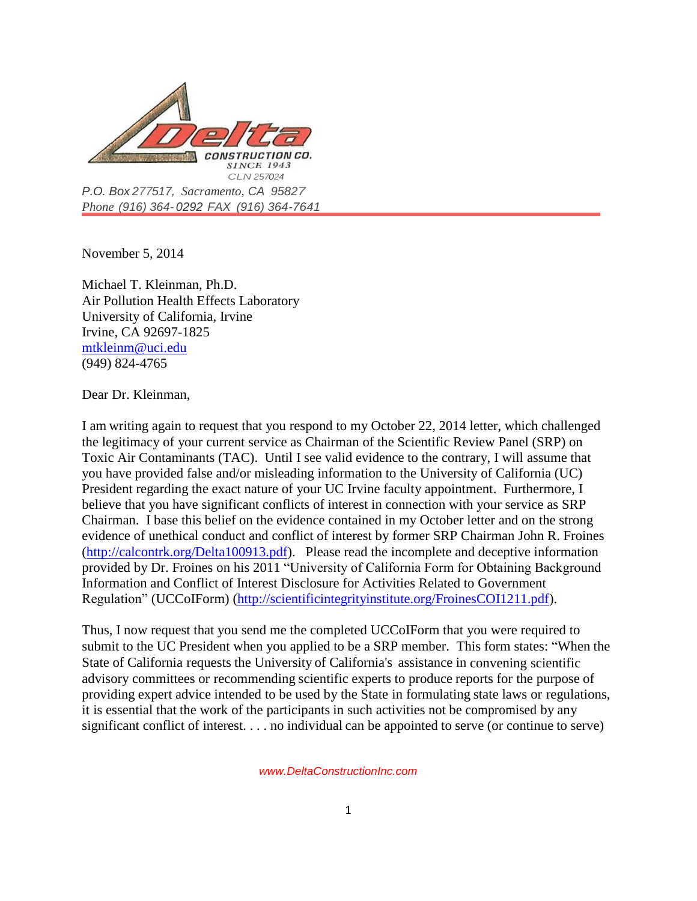

*Phone (916) 364- 0292 FAX (916) 364-7641*

November 5, 2014

Michael T. Kleinman, Ph.D. Air Pollution Health Effects Laboratory University of California, Irvine Irvine, CA 92697-1825 [mtkleinm@uci.edu](mailto:mtkleinm@uci.edu) (949) 824-4765

Dear Dr. Kleinman,

I am writing again to request that you respond to my October 22, 2014 letter, which challenged the legitimacy of your current service as Chairman of the Scientific Review Panel (SRP) on Toxic Air Contaminants (TAC). Until I see valid evidence to the contrary, I will assume that you have provided false and/or misleading information to the University of California (UC) President regarding the exact nature of your UC Irvine faculty appointment. Furthermore, I believe that you have significant conflicts of interest in connection with your service as SRP Chairman. I base this belief on the evidence contained in my October letter and on the strong evidence of unethical conduct and conflict of interest by former SRP Chairman John R. Froines [\(http://calcontrk.org/Delta100913.pdf\)](http://calcontrk.org/Delta100913.pdf). Please read the incomplete and deceptive information provided by Dr. Froines on his 2011 "University of California Form for Obtaining Background Information and Conflict of Interest Disclosure for Activities Related to Government Regulation" (UCCoIForm) [\(http://scientificintegrityinstitute.org/FroinesCOI1211.pdf\)](http://scientificintegrityinstitute.org/FroinesCOI1211.pdf).

Thus, I now request that you send me the completed UCCoIForm that you were required to submit to the UC President when you applied to be a SRP member. This form states: "When the State of California requests the University of California's assistance in convening scientific advisory committees or recommending scientific experts to produce reports for the purpose of providing expert advice intended to be used by the State in formulating state laws or regulations, it is essential that the work of the participants in such activities not be compromised by any significant conflict of interest. . . . no individual can be appointed to serve (or continue to serve)

 *www.DeltaConstructionInc.com*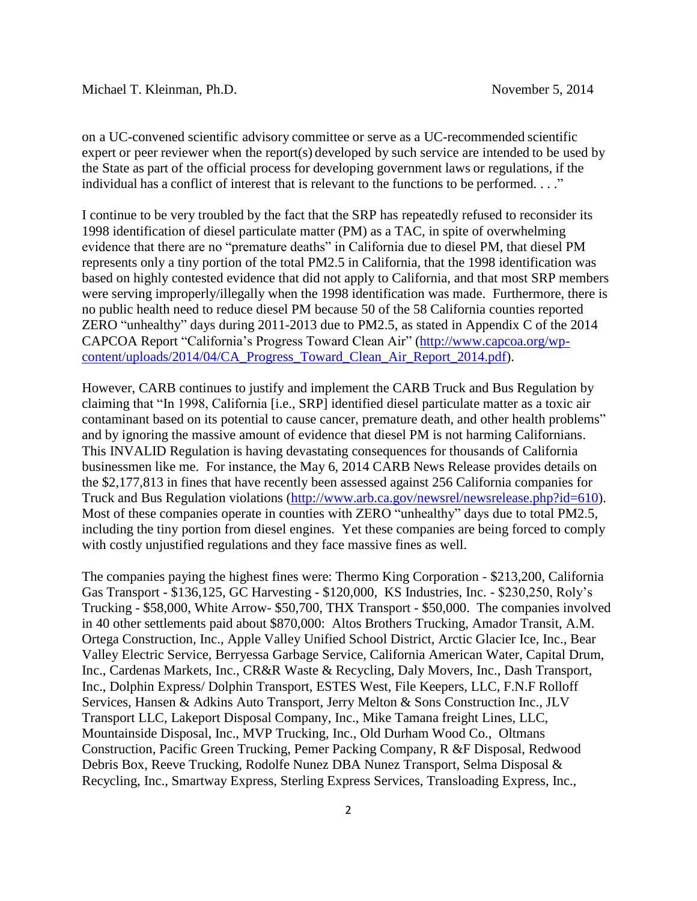Michael T. Kleinman, Ph.D. November 5, 2014

on a UC-convened scientific advisory committee or serve as a UC-recommended scientific expert or peer reviewer when the report(s) developed by such service are intended to be used by the State as part of the official process for developing government laws or regulations, if the individual has a conflict of interest that is relevant to the functions to be performed. . . ."

I continue to be very troubled by the fact that the SRP has repeatedly refused to reconsider its 1998 identification of diesel particulate matter (PM) as a TAC, in spite of overwhelming evidence that there are no "premature deaths" in California due to diesel PM, that diesel PM represents only a tiny portion of the total PM2.5 in California, that the 1998 identification was based on highly contested evidence that did not apply to California, and that most SRP members were serving improperly/illegally when the 1998 identification was made. Furthermore, there is no public health need to reduce diesel PM because 50 of the 58 California counties reported ZERO "unhealthy" days during 2011-2013 due to PM2.5, as stated in Appendix C of the 2014 CAPCOA Report "California's Progress Toward Clean Air" [\(http://www.capcoa.org/wp](http://www.capcoa.org/wp-content/uploads/2014/04/CA_Progress_Toward_Clean_Air_Report_2014.pdf)[content/uploads/2014/04/CA\\_Progress\\_Toward\\_Clean\\_Air\\_Report\\_2014.pdf\)](http://www.capcoa.org/wp-content/uploads/2014/04/CA_Progress_Toward_Clean_Air_Report_2014.pdf).

However, CARB continues to justify and implement the CARB Truck and Bus Regulation by claiming that "In 1998, California [i.e., SRP] identified diesel particulate matter as a toxic air contaminant based on its potential to cause cancer, premature death, and other health problems" and by ignoring the massive amount of evidence that diesel PM is not harming Californians. This INVALID Regulation is having devastating consequences for thousands of California businessmen like me. For instance, the May 6, 2014 CARB News Release provides details on the \$2,177,813 in fines that have recently been assessed against 256 California companies for Truck and Bus Regulation violations [\(http://www.arb.ca.gov/newsrel/newsrelease.php?id=610\)](http://www.arb.ca.gov/newsrel/newsrelease.php?id=610). Most of these companies operate in counties with ZERO "unhealthy" days due to total PM2.5, including the tiny portion from diesel engines. Yet these companies are being forced to comply with costly unjustified regulations and they face massive fines as well.

The companies paying the highest fines were: Thermo King Corporation - \$213,200, California Gas Transport - \$136,125, GC Harvesting - \$120,000, KS Industries, Inc. - \$230,250, Roly's Trucking - \$58,000, White Arrow- \$50,700, THX Transport - \$50,000. The companies involved in 40 other settlements paid about \$870,000: Altos Brothers Trucking, Amador Transit, A.M. Ortega Construction, Inc., Apple Valley Unified School District, Arctic Glacier Ice, Inc., Bear Valley Electric Service, Berryessa Garbage Service, California American Water, Capital Drum, Inc., Cardenas Markets, Inc., CR&R Waste & Recycling, Daly Movers, Inc., Dash Transport, Inc., Dolphin Express/ Dolphin Transport, ESTES West, File Keepers, LLC, F.N.F Rolloff Services, Hansen & Adkins Auto Transport, Jerry Melton & Sons Construction Inc., JLV Transport LLC, Lakeport Disposal Company, Inc., Mike Tamana freight Lines, LLC, Mountainside Disposal, Inc., MVP Trucking, Inc., Old Durham Wood Co., Oltmans Construction, Pacific Green Trucking, Pemer Packing Company, R &F Disposal, Redwood Debris Box, Reeve Trucking, Rodolfe Nunez DBA Nunez Transport, Selma Disposal & Recycling, Inc., Smartway Express, Sterling Express Services, Transloading Express, Inc.,